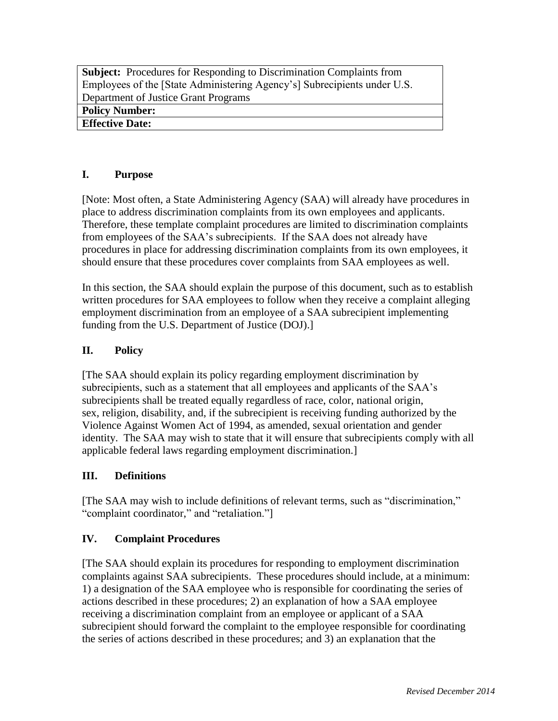**Subject:** Procedures for Responding to Discrimination Complaints from Employees of the [State Administering Agency's] Subrecipients under U.S. Department of Justice Grant Programs **Policy Number:** 

**Effective Date:** 

## **I. Purpose**

[Note: Most often, a State Administering Agency (SAA) will already have procedures in place to address discrimination complaints from its own employees and applicants. Therefore, these template complaint procedures are limited to discrimination complaints from employees of the SAA's subrecipients. If the SAA does not already have procedures in place for addressing discrimination complaints from its own employees, it should ensure that these procedures cover complaints from SAA employees as well.

In this section, the SAA should explain the purpose of this document, such as to establish written procedures for SAA employees to follow when they receive a complaint alleging employment discrimination from an employee of a SAA subrecipient implementing funding from the U.S. Department of Justice (DOJ).]

# **II. Policy**

[The SAA should explain its policy regarding employment discrimination by subrecipients, such as a statement that all employees and applicants of the SAA's subrecipients shall be treated equally regardless of race, color, national origin, sex, religion, disability, and, if the subrecipient is receiving funding authorized by the Violence Against Women Act of 1994, as amended, sexual orientation and gender identity. The SAA may wish to state that it will ensure that subrecipients comply with all applicable federal laws regarding employment discrimination.]

## **III. Definitions**

[The SAA may wish to include definitions of relevant terms, such as "discrimination," "complaint coordinator," and "retaliation."]

## **IV. Complaint Procedures**

[The SAA should explain its procedures for responding to employment discrimination complaints against SAA subrecipients. These procedures should include, at a minimum: 1) a designation of the SAA employee who is responsible for coordinating the series of actions described in these procedures; 2) an explanation of how a SAA employee receiving a discrimination complaint from an employee or applicant of a SAA subrecipient should forward the complaint to the employee responsible for coordinating the series of actions described in these procedures; and 3) an explanation that the